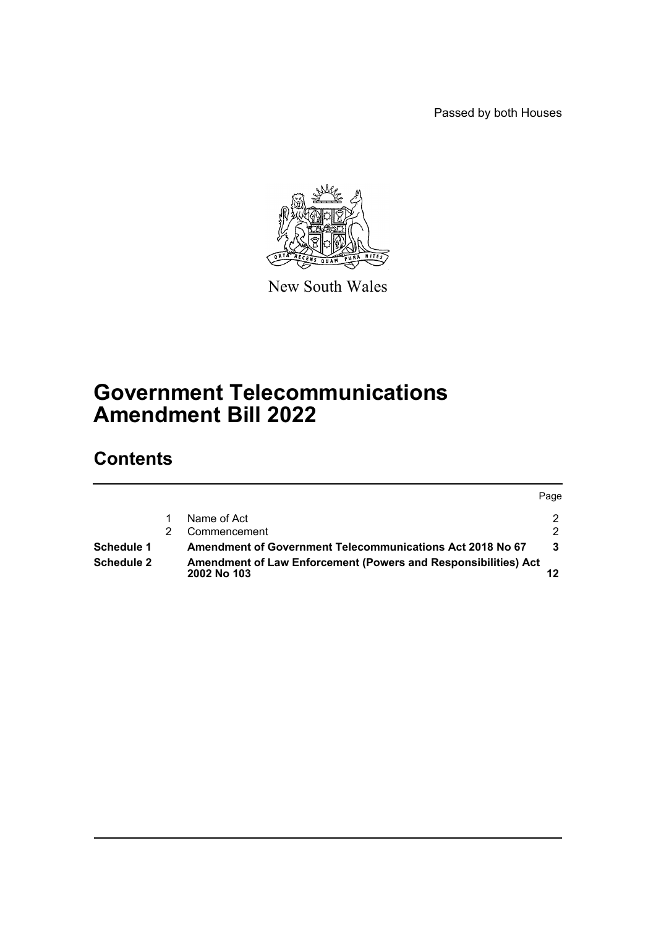Passed by both Houses



New South Wales

# **Government Telecommunications Amendment Bill 2022**

# **Contents**

|            |                                                                                             | Page |
|------------|---------------------------------------------------------------------------------------------|------|
|            | Name of Act                                                                                 |      |
|            | Commencement                                                                                |      |
| Schedule 1 | Amendment of Government Telecommunications Act 2018 No 67                                   |      |
| Schedule 2 | <b>Amendment of Law Enforcement (Powers and Responsibilities) Act</b><br><b>2002 No 103</b> |      |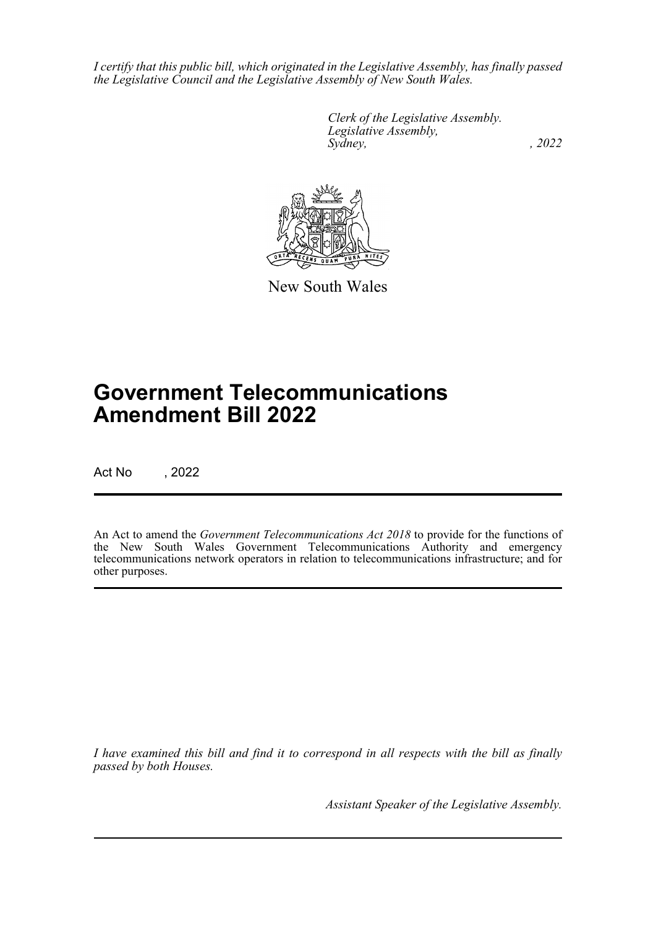*I certify that this public bill, which originated in the Legislative Assembly, has finally passed the Legislative Council and the Legislative Assembly of New South Wales.*

> *Clerk of the Legislative Assembly. Legislative Assembly, Sydney, , 2022*



New South Wales

# **Government Telecommunications Amendment Bill 2022**

Act No , 2022

An Act to amend the *Government Telecommunications Act 2018* to provide for the functions of the New South Wales Government Telecommunications Authority and emergency telecommunications network operators in relation to telecommunications infrastructure; and for other purposes.

*I have examined this bill and find it to correspond in all respects with the bill as finally passed by both Houses.*

*Assistant Speaker of the Legislative Assembly.*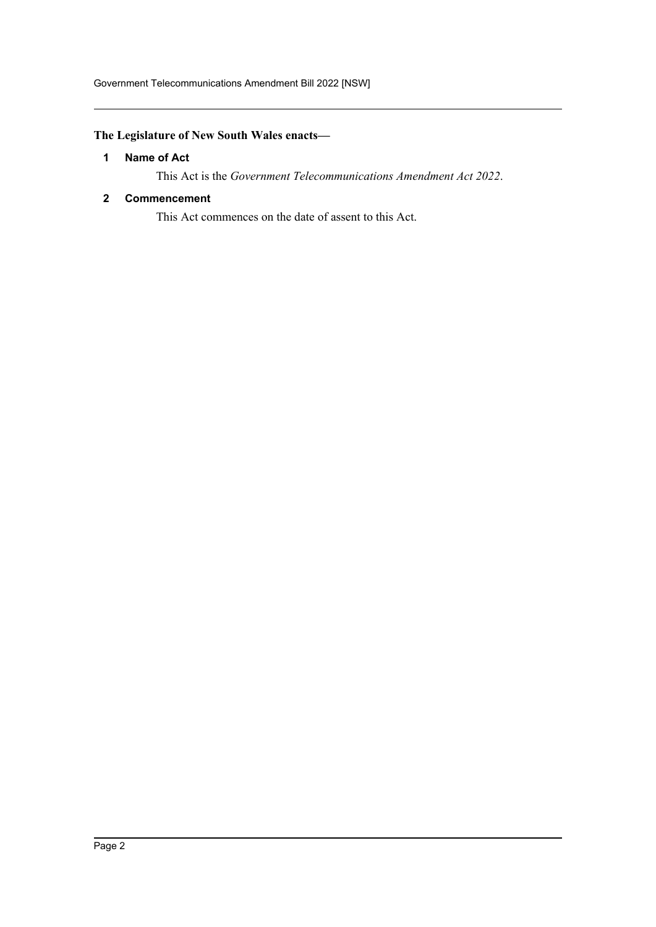# <span id="page-2-0"></span>**The Legislature of New South Wales enacts—**

# **1 Name of Act**

This Act is the *Government Telecommunications Amendment Act 2022*.

## <span id="page-2-1"></span>**2 Commencement**

This Act commences on the date of assent to this Act.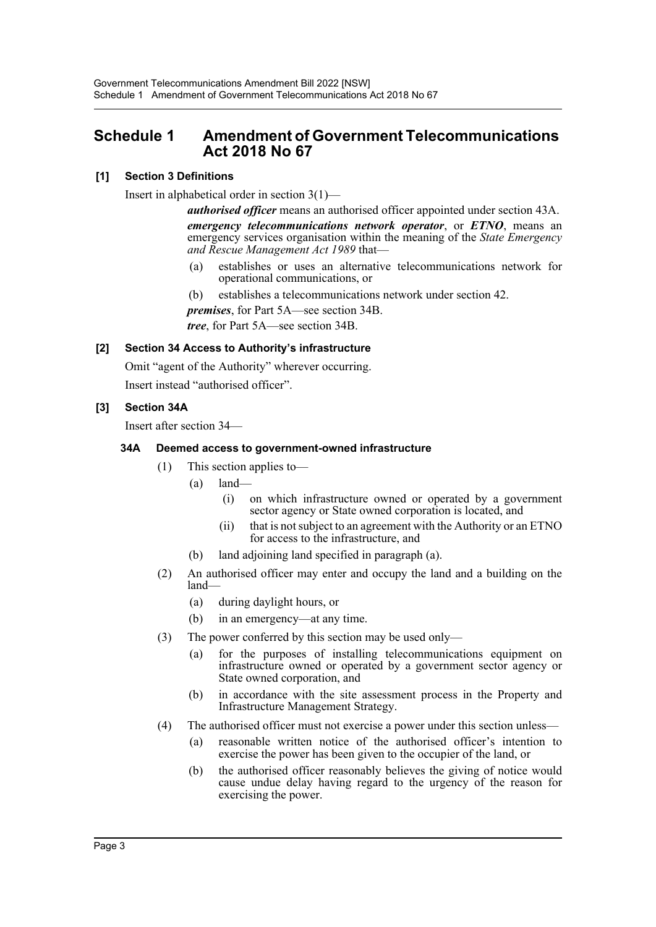# <span id="page-3-0"></span>**Schedule 1 Amendment of Government Telecommunications Act 2018 No 67**

# **[1] Section 3 Definitions**

Insert in alphabetical order in section 3(1)—

*authorised officer* means an authorised officer appointed under section 43A. *emergency telecommunications network operator*, or *ETNO*, means an emergency services organisation within the meaning of the *State Emergency and Rescue Management Act 1989* that—

- (a) establishes or uses an alternative telecommunications network for operational communications, or
- (b) establishes a telecommunications network under section 42.
- *premises*, for Part 5A—see section 34B.

*tree*, for Part 5A—see section 34B.

#### **[2] Section 34 Access to Authority's infrastructure**

Omit "agent of the Authority" wherever occurring.

Insert instead "authorised officer".

### **[3] Section 34A**

Insert after section 34—

### **34A Deemed access to government-owned infrastructure**

- (1) This section applies to—
	- (a) land—
		- (i) on which infrastructure owned or operated by a government sector agency or State owned corporation is located, and
		- (ii) that is not subject to an agreement with the Authority or an ETNO for access to the infrastructure, and
	- (b) land adjoining land specified in paragraph (a).
- (2) An authorised officer may enter and occupy the land and a building on the land—
	- (a) during daylight hours, or
	- (b) in an emergency—at any time.
- (3) The power conferred by this section may be used only—
	- (a) for the purposes of installing telecommunications equipment on infrastructure owned or operated by a government sector agency or State owned corporation, and
	- (b) in accordance with the site assessment process in the Property and Infrastructure Management Strategy.
- (4) The authorised officer must not exercise a power under this section unless—
	- (a) reasonable written notice of the authorised officer's intention to exercise the power has been given to the occupier of the land, or
	- (b) the authorised officer reasonably believes the giving of notice would cause undue delay having regard to the urgency of the reason for exercising the power.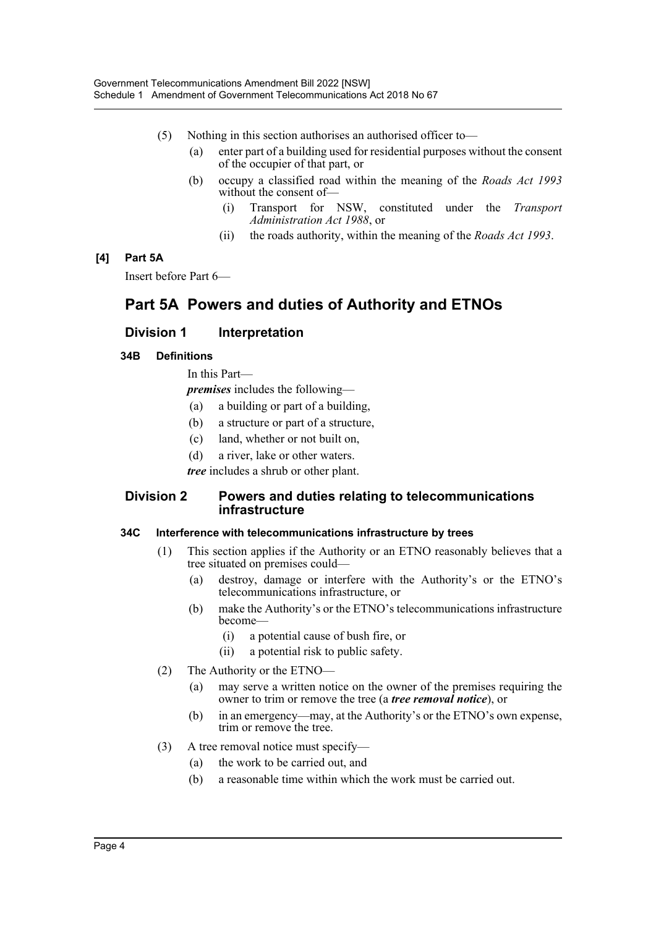- (5) Nothing in this section authorises an authorised officer to—
	- (a) enter part of a building used for residential purposes without the consent of the occupier of that part, or
	- (b) occupy a classified road within the meaning of the *Roads Act 1993* without the consent of-
		- (i) Transport for NSW, constituted under the *Transport Administration Act 1988*, or
		- (ii) the roads authority, within the meaning of the *Roads Act 1993*.

### **[4] Part 5A**

Insert before Part 6—

# **Part 5A Powers and duties of Authority and ETNOs**

# **Division 1 Interpretation**

### **34B Definitions**

In this Part—

*premises* includes the following—

- (a) a building or part of a building,
- (b) a structure or part of a structure,
- (c) land, whether or not built on,
- (d) a river, lake or other waters.

*tree* includes a shrub or other plant.

### **Division 2 Powers and duties relating to telecommunications infrastructure**

#### **34C Interference with telecommunications infrastructure by trees**

- (1) This section applies if the Authority or an ETNO reasonably believes that a tree situated on premises could—
	- (a) destroy, damage or interfere with the Authority's or the ETNO's telecommunications infrastructure, or
	- (b) make the Authority's or the ETNO's telecommunications infrastructure become—
		- (i) a potential cause of bush fire, or
		- (ii) a potential risk to public safety.
- (2) The Authority or the ETNO—
	- (a) may serve a written notice on the owner of the premises requiring the owner to trim or remove the tree (a *tree removal notice*), or
	- (b) in an emergency—may, at the Authority's or the ETNO's own expense, trim or remove the tree.
- (3) A tree removal notice must specify—
	- (a) the work to be carried out, and
	- (b) a reasonable time within which the work must be carried out.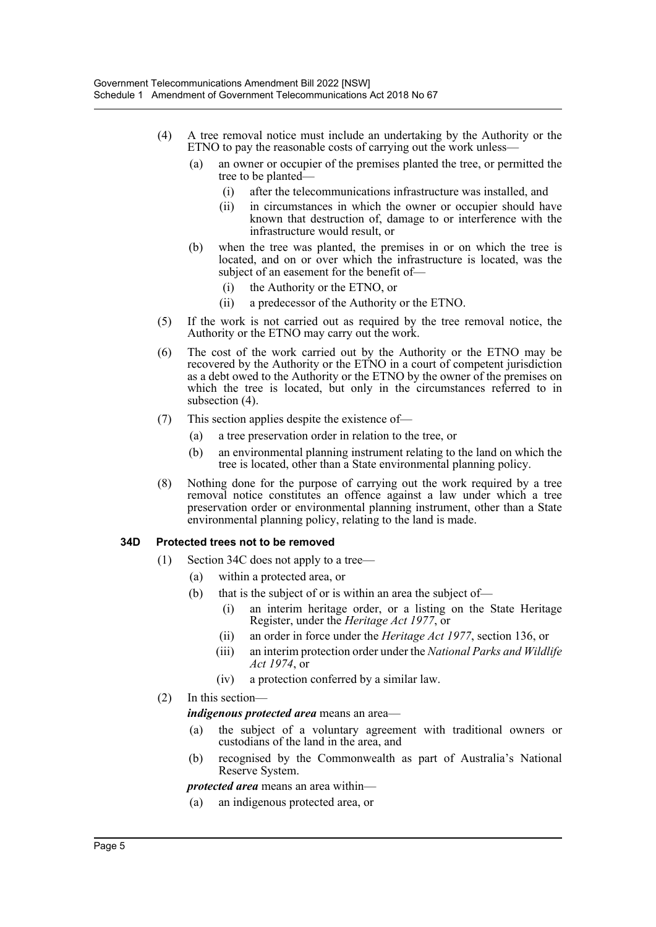- (4) A tree removal notice must include an undertaking by the Authority or the ETNO to pay the reasonable costs of carrying out the work unless—
	- (a) an owner or occupier of the premises planted the tree, or permitted the tree to be planted—
		- (i) after the telecommunications infrastructure was installed, and
		- (ii) in circumstances in which the owner or occupier should have known that destruction of, damage to or interference with the infrastructure would result, or
	- (b) when the tree was planted, the premises in or on which the tree is located, and on or over which the infrastructure is located, was the subject of an easement for the benefit of—
		- (i) the Authority or the ETNO, or
		- (ii) a predecessor of the Authority or the ETNO.
- (5) If the work is not carried out as required by the tree removal notice, the Authority or the ETNO may carry out the work.
- (6) The cost of the work carried out by the Authority or the ETNO may be recovered by the Authority or the ETNO in a court of competent jurisdiction as a debt owed to the Authority or the ETNO by the owner of the premises on which the tree is located, but only in the circumstances referred to in subsection (4).
- (7) This section applies despite the existence of—
	- (a) a tree preservation order in relation to the tree, or
	- (b) an environmental planning instrument relating to the land on which the tree is located, other than a State environmental planning policy.
- (8) Nothing done for the purpose of carrying out the work required by a tree removal notice constitutes an offence against a law under which a tree preservation order or environmental planning instrument, other than a State environmental planning policy, relating to the land is made.

#### **34D Protected trees not to be removed**

- (1) Section 34C does not apply to a tree—
	- (a) within a protected area, or
	- (b) that is the subject of or is within an area the subject of—
		- (i) an interim heritage order, or a listing on the State Heritage Register, under the *Heritage Act 1977*, or
		- (ii) an order in force under the *Heritage Act 1977*, section 136, or
		- (iii) an interim protection order under the *National Parks and Wildlife Act 1974*, or
		- (iv) a protection conferred by a similar law.
- (2) In this section—

*indigenous protected area* means an area—

- (a) the subject of a voluntary agreement with traditional owners or custodians of the land in the area, and
- (b) recognised by the Commonwealth as part of Australia's National Reserve System.

*protected area* means an area within—

(a) an indigenous protected area, or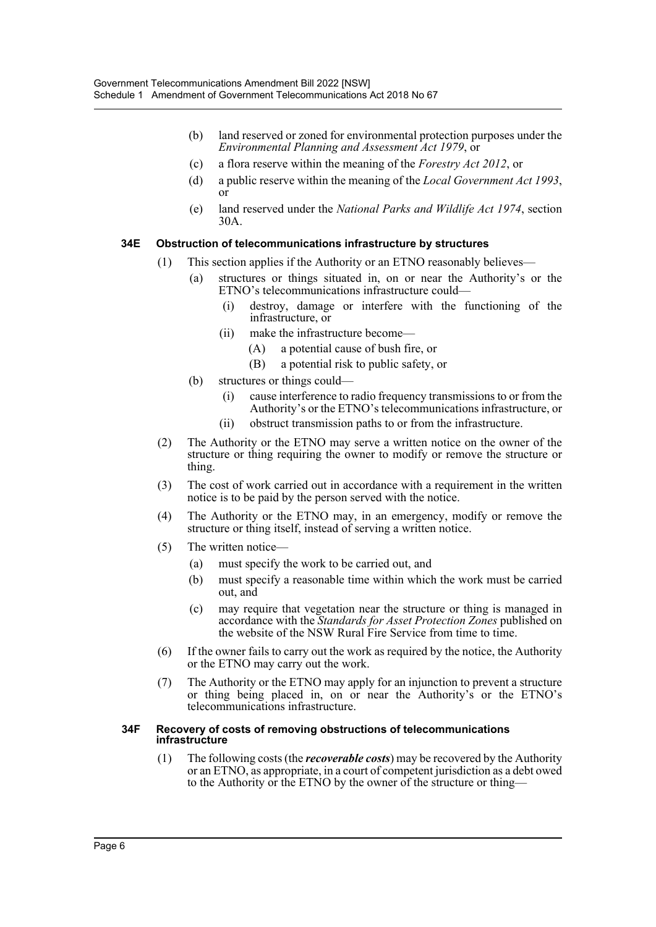- (b) land reserved or zoned for environmental protection purposes under the *Environmental Planning and Assessment Act 1979*, or
- (c) a flora reserve within the meaning of the *Forestry Act 2012*, or
- (d) a public reserve within the meaning of the *Local Government Act 1993*, or
- (e) land reserved under the *National Parks and Wildlife Act 1974*, section 30A.

### **34E Obstruction of telecommunications infrastructure by structures**

- (1) This section applies if the Authority or an ETNO reasonably believes—
	- (a) structures or things situated in, on or near the Authority's or the ETNO's telecommunications infrastructure could—
		- (i) destroy, damage or interfere with the functioning of the infrastructure, or
		- (ii) make the infrastructure become—
			- (A) a potential cause of bush fire, or
			- (B) a potential risk to public safety, or
	- (b) structures or things could—
		- (i) cause interference to radio frequency transmissions to or from the Authority's or the ETNO's telecommunications infrastructure, or
		- (ii) obstruct transmission paths to or from the infrastructure.
- (2) The Authority or the ETNO may serve a written notice on the owner of the structure or thing requiring the owner to modify or remove the structure or thing.
- (3) The cost of work carried out in accordance with a requirement in the written notice is to be paid by the person served with the notice.
- (4) The Authority or the ETNO may, in an emergency, modify or remove the structure or thing itself, instead of serving a written notice.
- (5) The written notice—
	- (a) must specify the work to be carried out, and
	- (b) must specify a reasonable time within which the work must be carried out, and
	- (c) may require that vegetation near the structure or thing is managed in accordance with the *Standards for Asset Protection Zones* published on the website of the NSW Rural Fire Service from time to time.
- (6) If the owner fails to carry out the work as required by the notice, the Authority or the ETNO may carry out the work.
- (7) The Authority or the ETNO may apply for an injunction to prevent a structure or thing being placed in, on or near the Authority's or the ETNO's telecommunications infrastructure.

#### **34F Recovery of costs of removing obstructions of telecommunications infrastructure**

(1) The following costs (the *recoverable costs*) may be recovered by the Authority or an ETNO, as appropriate, in a court of competent jurisdiction as a debt owed to the Authority or the ETNO by the owner of the structure or thing—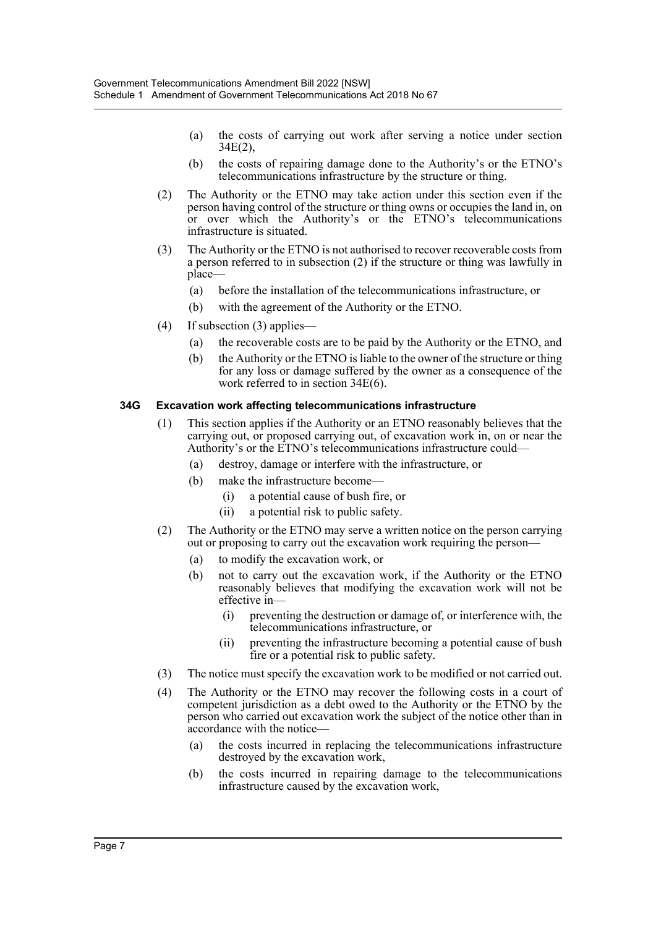- (a) the costs of carrying out work after serving a notice under section 34E(2),
- (b) the costs of repairing damage done to the Authority's or the ETNO's telecommunications infrastructure by the structure or thing.
- (2) The Authority or the ETNO may take action under this section even if the person having control of the structure or thing owns or occupies the land in, on or over which the Authority's or the ETNO's telecommunications infrastructure is situated.
- (3) The Authority or the ETNO is not authorised to recover recoverable costs from a person referred to in subsection (2) if the structure or thing was lawfully in place—
	- (a) before the installation of the telecommunications infrastructure, or
	- (b) with the agreement of the Authority or the ETNO.
- (4) If subsection (3) applies—
	- (a) the recoverable costs are to be paid by the Authority or the ETNO, and
	- (b) the Authority or the ETNO is liable to the owner of the structure or thing for any loss or damage suffered by the owner as a consequence of the work referred to in section 34E(6).

### **34G Excavation work affecting telecommunications infrastructure**

- (1) This section applies if the Authority or an ETNO reasonably believes that the carrying out, or proposed carrying out, of excavation work in, on or near the Authority's or the ETNO's telecommunications infrastructure could—
	- (a) destroy, damage or interfere with the infrastructure, or
	- (b) make the infrastructure become—
		- (i) a potential cause of bush fire, or
		- (ii) a potential risk to public safety.
- (2) The Authority or the ETNO may serve a written notice on the person carrying out or proposing to carry out the excavation work requiring the person—
	- (a) to modify the excavation work, or
	- (b) not to carry out the excavation work, if the Authority or the ETNO reasonably believes that modifying the excavation work will not be effective in—
		- (i) preventing the destruction or damage of, or interference with, the telecommunications infrastructure, or
		- (ii) preventing the infrastructure becoming a potential cause of bush fire or a potential risk to public safety.
- (3) The notice must specify the excavation work to be modified or not carried out.
- (4) The Authority or the ETNO may recover the following costs in a court of competent jurisdiction as a debt owed to the Authority or the ETNO by the person who carried out excavation work the subject of the notice other than in accordance with the notice—
	- (a) the costs incurred in replacing the telecommunications infrastructure destroyed by the excavation work,
	- (b) the costs incurred in repairing damage to the telecommunications infrastructure caused by the excavation work,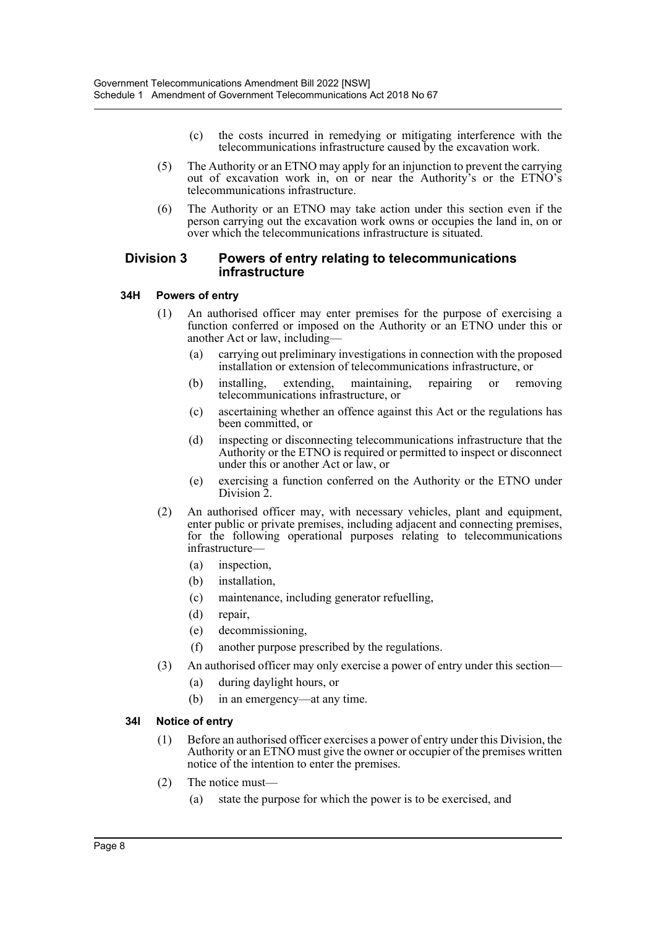- (c) the costs incurred in remedying or mitigating interference with the telecommunications infrastructure caused by the excavation work.
- (5) The Authority or an ETNO may apply for an injunction to prevent the carrying out of excavation work in, on or near the Authority's or the ETNO's telecommunications infrastructure.
- (6) The Authority or an ETNO may take action under this section even if the person carrying out the excavation work owns or occupies the land in, on or over which the telecommunications infrastructure is situated.

### **Division 3 Powers of entry relating to telecommunications infrastructure**

### **34H Powers of entry**

- (1) An authorised officer may enter premises for the purpose of exercising a function conferred or imposed on the Authority or an ETNO under this or another Act or law, including—
	- (a) carrying out preliminary investigations in connection with the proposed installation or extension of telecommunications infrastructure, or
	- (b) installing, extending, maintaining, repairing or removing telecommunications infrastructure, or
	- (c) ascertaining whether an offence against this Act or the regulations has been committed, or
	- (d) inspecting or disconnecting telecommunications infrastructure that the Authority or the ETNO is required or permitted to inspect or disconnect under this or another Act or law, or
	- (e) exercising a function conferred on the Authority or the ETNO under Division<sub>2</sub>.
- (2) An authorised officer may, with necessary vehicles, plant and equipment, enter public or private premises, including adjacent and connecting premises, for the following operational purposes relating to telecommunications infrastructure—
	- (a) inspection,
	- (b) installation,
	- (c) maintenance, including generator refuelling,
	- (d) repair,
	- (e) decommissioning,
	- (f) another purpose prescribed by the regulations.
- (3) An authorised officer may only exercise a power of entry under this section—
	- (a) during daylight hours, or
	- (b) in an emergency—at any time.

#### **34I Notice of entry**

- (1) Before an authorised officer exercises a power of entry under this Division, the Authority or an ETNO must give the owner or occupier of the premises written notice of the intention to enter the premises.
- (2) The notice must—
	- (a) state the purpose for which the power is to be exercised, and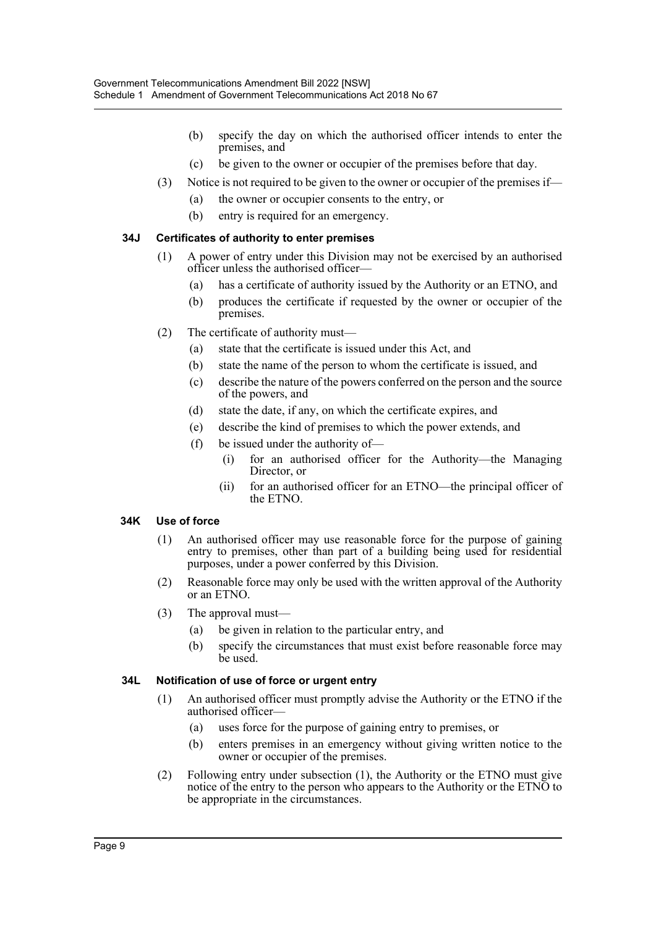- (b) specify the day on which the authorised officer intends to enter the premises, and
- (c) be given to the owner or occupier of the premises before that day.
- (3) Notice is not required to be given to the owner or occupier of the premises if—
	- (a) the owner or occupier consents to the entry, or
	- (b) entry is required for an emergency.

# **34J Certificates of authority to enter premises**

- (1) A power of entry under this Division may not be exercised by an authorised officer unless the authorised officer—
	- (a) has a certificate of authority issued by the Authority or an ETNO, and
	- (b) produces the certificate if requested by the owner or occupier of the premises.
- (2) The certificate of authority must—
	- (a) state that the certificate is issued under this Act, and
	- (b) state the name of the person to whom the certificate is issued, and
	- (c) describe the nature of the powers conferred on the person and the source of the powers, and
	- (d) state the date, if any, on which the certificate expires, and
	- (e) describe the kind of premises to which the power extends, and
	- (f) be issued under the authority of—
		- (i) for an authorised officer for the Authority—the Managing Director, or
		- (ii) for an authorised officer for an ETNO—the principal officer of the ETNO.

# **34K Use of force**

- (1) An authorised officer may use reasonable force for the purpose of gaining entry to premises, other than part of a building being used for residential purposes, under a power conferred by this Division.
- (2) Reasonable force may only be used with the written approval of the Authority or an ETNO.
- (3) The approval must—
	- (a) be given in relation to the particular entry, and
	- (b) specify the circumstances that must exist before reasonable force may be used.

# **34L Notification of use of force or urgent entry**

- (1) An authorised officer must promptly advise the Authority or the ETNO if the authorised officer—
	- (a) uses force for the purpose of gaining entry to premises, or
	- (b) enters premises in an emergency without giving written notice to the owner or occupier of the premises.
- (2) Following entry under subsection (1), the Authority or the ETNO must give notice of the entry to the person who appears to the Authority or the ETNO to be appropriate in the circumstances.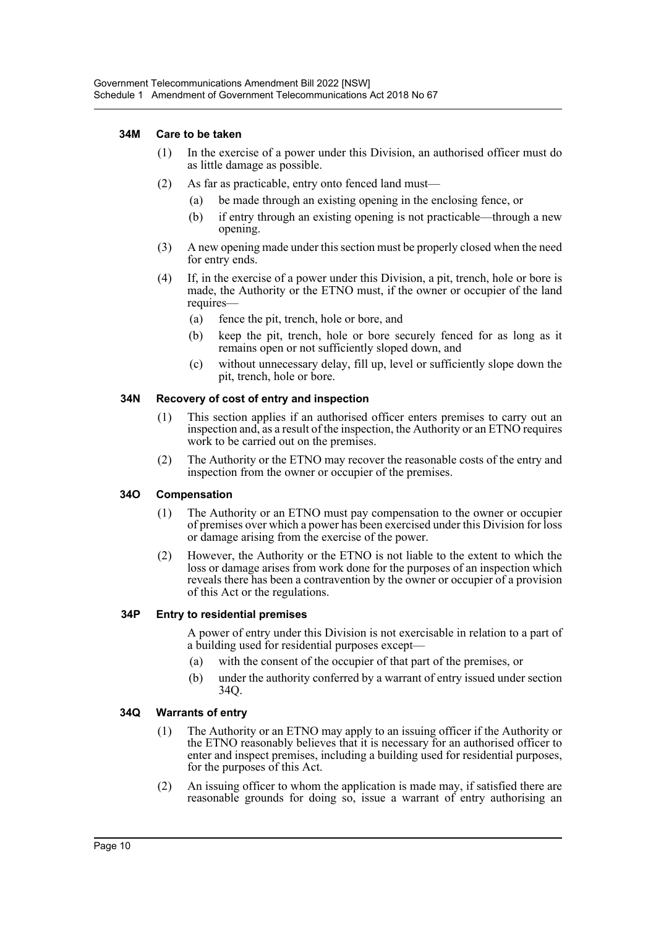#### **34M Care to be taken**

- (1) In the exercise of a power under this Division, an authorised officer must do as little damage as possible.
- (2) As far as practicable, entry onto fenced land must—
	- (a) be made through an existing opening in the enclosing fence, or
	- (b) if entry through an existing opening is not practicable—through a new opening.
- (3) A new opening made under this section must be properly closed when the need for entry ends.
- (4) If, in the exercise of a power under this Division, a pit, trench, hole or bore is made, the Authority or the ETNO must, if the owner or occupier of the land requires—
	- (a) fence the pit, trench, hole or bore, and
	- (b) keep the pit, trench, hole or bore securely fenced for as long as it remains open or not sufficiently sloped down, and
	- (c) without unnecessary delay, fill up, level or sufficiently slope down the pit, trench, hole or bore.

#### **34N Recovery of cost of entry and inspection**

- (1) This section applies if an authorised officer enters premises to carry out an inspection and, as a result of the inspection, the Authority or an ETNO requires work to be carried out on the premises.
- (2) The Authority or the ETNO may recover the reasonable costs of the entry and inspection from the owner or occupier of the premises.

#### **34O Compensation**

- (1) The Authority or an ETNO must pay compensation to the owner or occupier of premises over which a power has been exercised under this Division for loss or damage arising from the exercise of the power.
- (2) However, the Authority or the ETNO is not liable to the extent to which the loss or damage arises from work done for the purposes of an inspection which reveals there has been a contravention by the owner or occupier of a provision of this Act or the regulations.

#### **34P Entry to residential premises**

A power of entry under this Division is not exercisable in relation to a part of a building used for residential purposes except—

- (a) with the consent of the occupier of that part of the premises, or
- (b) under the authority conferred by a warrant of entry issued under section 34Q.

#### **34Q Warrants of entry**

- (1) The Authority or an ETNO may apply to an issuing officer if the Authority or the ETNO reasonably believes that it is necessary for an authorised officer to enter and inspect premises, including a building used for residential purposes, for the purposes of this Act.
- (2) An issuing officer to whom the application is made may, if satisfied there are reasonable grounds for doing so, issue a warrant of entry authorising an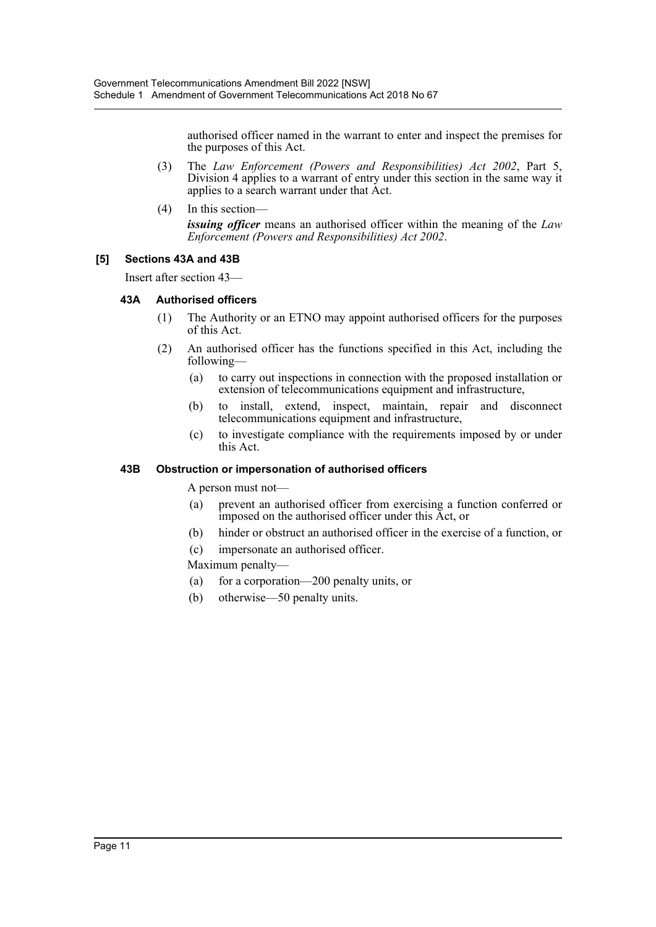authorised officer named in the warrant to enter and inspect the premises for the purposes of this Act.

- (3) The *Law Enforcement (Powers and Responsibilities) Act 2002*, Part 5, Division 4 applies to a warrant of entry under this section in the same way it applies to a search warrant under that Act.
- (4) In this section—

*issuing officer* means an authorised officer within the meaning of the *Law Enforcement (Powers and Responsibilities) Act 2002*.

### **[5] Sections 43A and 43B**

Insert after section 43—

### **43A Authorised officers**

- (1) The Authority or an ETNO may appoint authorised officers for the purposes of this Act.
- (2) An authorised officer has the functions specified in this Act, including the following—
	- (a) to carry out inspections in connection with the proposed installation or extension of telecommunications equipment and infrastructure,
	- (b) to install, extend, inspect, maintain, repair and disconnect telecommunications equipment and infrastructure,
	- (c) to investigate compliance with the requirements imposed by or under this Act.

#### **43B Obstruction or impersonation of authorised officers**

A person must not—

- (a) prevent an authorised officer from exercising a function conferred or imposed on the authorised officer under this Act, or
- (b) hinder or obstruct an authorised officer in the exercise of a function, or
- (c) impersonate an authorised officer.

Maximum penalty—

- (a) for a corporation—200 penalty units, or
- (b) otherwise—50 penalty units.